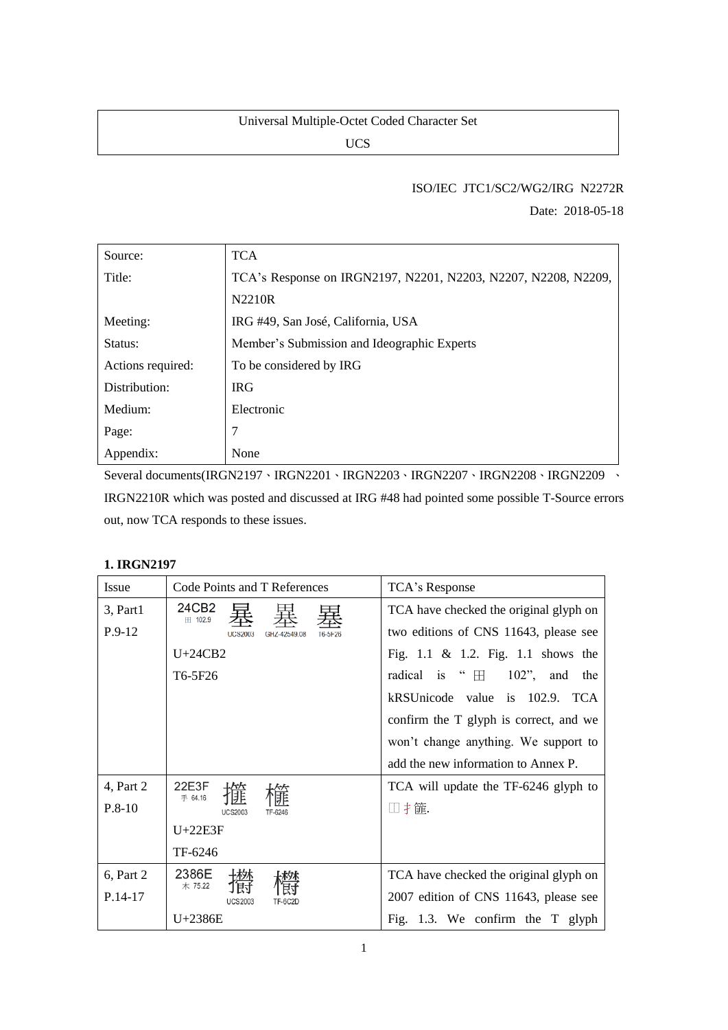## Universal Multiple‐Octet Coded Character Set

UCS

## ISO/IEC JTC1/SC2/WG2/IRG N2272R

Date: 2018-05-18

| Source:           | <b>TCA</b>                                                     |  |
|-------------------|----------------------------------------------------------------|--|
| Title:            | TCA's Response on IRGN2197, N2201, N2203, N2207, N2208, N2209, |  |
|                   | N2210R                                                         |  |
| Meeting:          | IRG #49, San José, California, USA                             |  |
| Status:           | Member's Submission and Ideographic Experts                    |  |
| Actions required: | To be considered by IRG                                        |  |
| Distribution:     | <b>IRG</b>                                                     |  |
| Medium:           | Electronic                                                     |  |
| Page:             | 7                                                              |  |
| Appendix:         | None                                                           |  |

Several documents(IRGN2197、IRGN2201、IRGN2203、IRGN2207、IRGN2208、IRGN2209 、

IRGN2210R which was posted and discussed at IRG #48 had pointed some possible T-Source errors out, now TCA responds to these issues.

## **1. IRGN2197**

| <b>Issue</b> | Code Points and T References              | TCA's Response                                 |  |
|--------------|-------------------------------------------|------------------------------------------------|--|
| 3, Part1     | 24CB2<br>Ⅲ 102.9                          | TCA have checked the original glyph on         |  |
| $P.9-12$     | GH7-42549.08<br>T6-5F26<br><b>UCS2003</b> | two editions of CNS 11643, please see          |  |
|              | $U+24CB2$                                 | Fig. 1.1 & 1.2. Fig. 1.1 shows the             |  |
|              | T <sub>6</sub> -5F <sub>26</sub>          | radical is " $\boxplus$<br>$102$ ", and<br>the |  |
|              |                                           | kRSUnicode value is<br>102.9. TCA              |  |
|              |                                           | confirm the T glyph is correct, and we         |  |
|              |                                           | won't change anything. We support to           |  |
|              |                                           | add the new information to Annex P.            |  |
| 4, Part 2    | 22E3F<br>手 64.16                          | TCA will update the TF-6246 glyph to           |  |
| $P.8-10$     | <b>UCS2003</b><br>TF-6246                 | □扌篚.                                           |  |
|              | $U+22E3F$                                 |                                                |  |
|              | TF-6246                                   |                                                |  |
| 6, Part 2    | 2386E<br>木 75.22                          | TCA have checked the original glyph on         |  |
| $P.14-17$    | <b>UCS2003</b>                            | 2007 edition of CNS 11643, please see          |  |
|              | $U+2386E$                                 | Fig. 1.3. We confirm the T glyph               |  |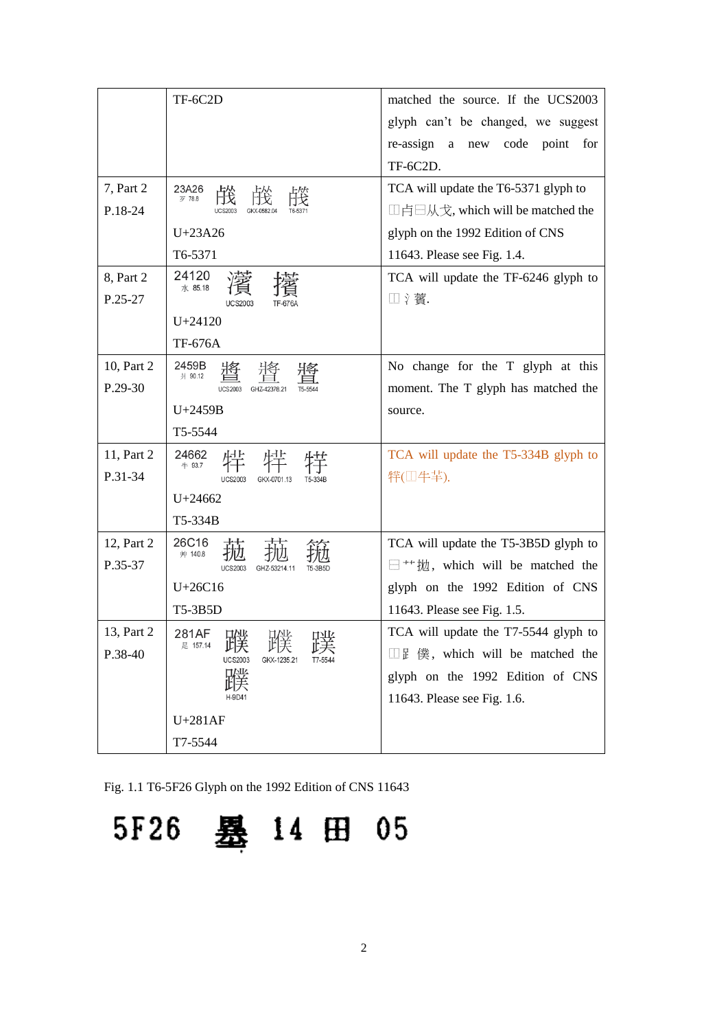|            | TF-6C2D                                                 | matched the source. If the UCS2003                                      |
|------------|---------------------------------------------------------|-------------------------------------------------------------------------|
|            |                                                         | glyph can't be changed, we suggest                                      |
|            |                                                         | re-assign a<br>code<br>point<br>new<br>for                              |
|            |                                                         | TF-6C2D.                                                                |
| 7, Part 2  | 23A26<br>歹 78.8                                         | TCA will update the T6-5371 glyph to                                    |
| P.18-24    |                                                         | □卢⊟从戈, which will be matched the                                        |
|            | $U+23A26$                                               | glyph on the 1992 Edition of CNS                                        |
|            | T6-5371                                                 | 11643. Please see Fig. 1.4.                                             |
| 8, Part 2  | 24120                                                   | TCA will update the TF-6246 glyph to                                    |
| P.25-27    | 水 85.18<br><b>UCS2003</b>                               | □ 氵薲.                                                                   |
|            | $U + 24120$                                             |                                                                         |
|            | <b>TF-676A</b>                                          |                                                                         |
| 10, Part 2 | 2459B<br>爿 90.12                                        | No change for the T glyph at this                                       |
| P.29-30    | <b>UCS2003</b><br>GHZ-42378.21                          | moment. The T glyph has matched the                                     |
|            | U+2459B                                                 | source.                                                                 |
|            | T5-5544                                                 |                                                                         |
| 11, Part 2 | 24662<br>牛 93.7                                         | TCA will update the T5-334B glyph to                                    |
| P.31-34    | <b>UCS2003</b><br>GKX-0701.13<br>T5-334B                | 特(□牛羊).                                                                 |
|            | $U + 24662$                                             |                                                                         |
|            | T5-334B                                                 |                                                                         |
| 12, Part 2 | 26C16<br>艸 140.8                                        | TCA will update the T5-3B5D glyph to                                    |
| P.35-37    | <b>UCS2003</b><br>GHZ-53214.11                          | $\Box$ <sup>++</sup> $\sharp \underline{t}$ , which will be matched the |
|            | $U+26C16$                                               | glyph on the 1992 Edition of CNS                                        |
|            | T5-3B5D                                                 | 11643. Please see Fig. 1.5.                                             |
| 13, Part 2 | 281AF D. D.<br>目互応<br>HAIL.                             | TCA will update the T7-5544 glyph to                                    |
| P.38-40    | 足 157.14<br><b>UCS2003</b><br>GKX-1235.21<br>$17 - 554$ | $\Box$ E 僕, which will be matched the                                   |
|            | 北赤                                                      | glyph on the 1992 Edition of CNS                                        |
|            | H-9D41                                                  | 11643. Please see Fig. 1.6.                                             |
|            | $U+281AF$                                               |                                                                         |
|            | T7-5544                                                 |                                                                         |

Fig. 1.1 T6-5F26 Glyph on the 1992 Edition of CNS 11643

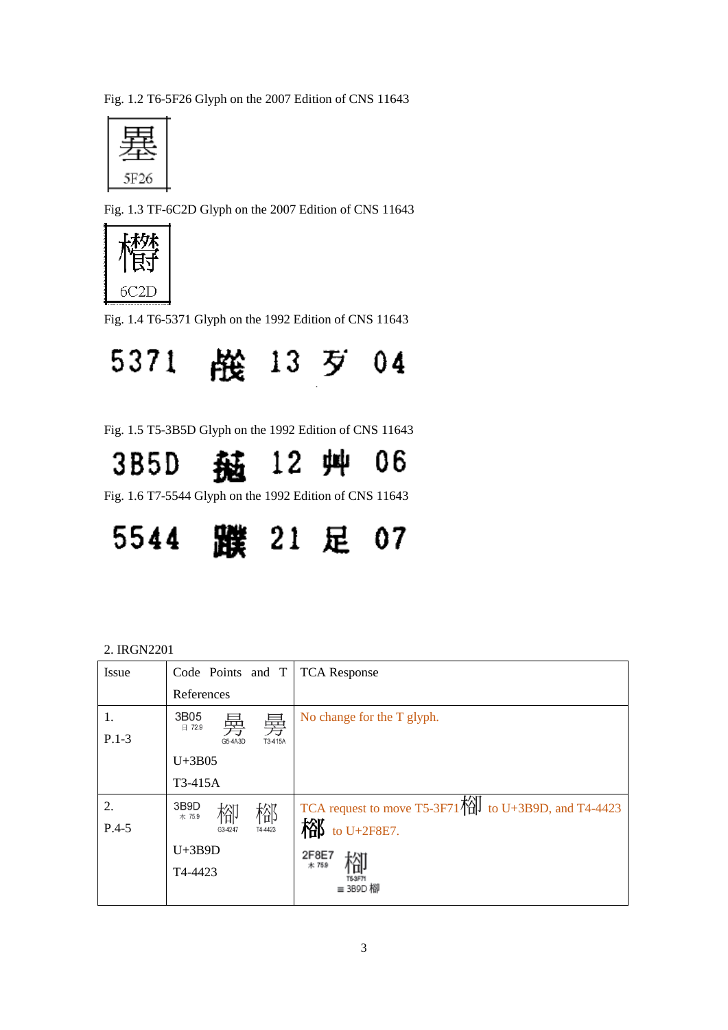Fig. 1.2 T6-5F26 Glyph on the 2007 Edition of CNS 11643



Fig. 1.3 TF-6C2D Glyph on the 2007 Edition of CNS 11643



Fig. 1.4 T6-5371 Glyph on the 1992 Edition of CNS 11643



Fig. 1.5 T5-3B5D Glyph on the 1992 Edition of CNS 11643

12 艸 06 3B5D 菗

Fig. 1.6 T7-5544 Glyph on the 1992 Edition of CNS 11643



| 2. IRGN2201 |
|-------------|
|-------------|

| <b>Issue</b> | Code Points and T        | <b>TCA Response</b>                                                     |
|--------------|--------------------------|-------------------------------------------------------------------------|
|              | References               |                                                                         |
| 1.           | 3B05<br>臱<br>臱<br>日 72.9 | No change for the T glyph.                                              |
| $P.1-3$      | G5-4A3D<br>T3-415A       |                                                                         |
|              | $U+3B05$                 |                                                                         |
|              | T3-415A                  |                                                                         |
| 2.           | 3B9D<br>榴<br>格<br>木 75.9 | TCA request to move T5-3F71 $\overrightarrow{1}$ to U+3B9D, and T4-4423 |
| $P.4-5$      | T4-4423<br>G3-4247       | to U+2F8E7.                                                             |
|              | $U+3B9D$                 | 2F8E7                                                                   |
|              | T4-4423                  | 木 75.9<br>16.3.E7                                                       |
|              |                          | ≡ 3B9D 栩                                                                |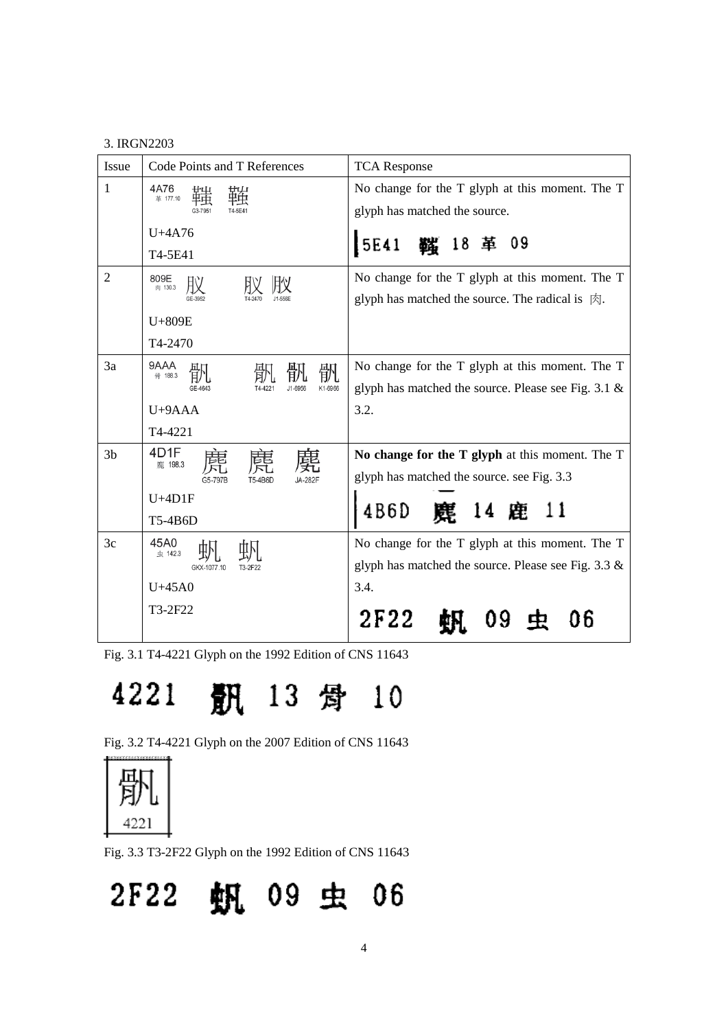### 3. IRGN2203

| <b>Issue</b>   | Code Points and T References | <b>TCA Response</b>                                                |
|----------------|------------------------------|--------------------------------------------------------------------|
| 1              | 4A76<br>革 177.10             | No change for the T glyph at this moment. The T                    |
|                |                              | glyph has matched the source.                                      |
|                | $U+4A76$                     | 5E41<br><b>鑑 18 革 09</b>                                           |
|                | T4-5E41                      |                                                                    |
| $\overline{2}$ | 809E<br>肉 130.3              | No change for the T glyph at this moment. The T                    |
|                |                              | glyph has matched the source. The radical is $\vert \xi \rangle$ . |
|                | U+809E                       |                                                                    |
|                | T4-2470                      |                                                                    |
| 3a             | 9AAA<br>骪<br>骨 188.3         | No change for the T glyph at this moment. The T                    |
|                | K1-6966<br>GE-4643           | glyph has matched the source. Please see Fig. $3.1 \&$             |
|                | U+9AAA                       | 3.2.                                                               |
|                | T4-4221                      |                                                                    |
| 3 <sub>b</sub> | 4D1F<br>鹿 198.3              | No change for the T glyph at this moment. The T                    |
|                | G5-797E                      | glyph has matched the source. see Fig. 3.3                         |
|                | $U+4D1F$                     |                                                                    |
|                | T5-4B6D                      | 14 鹿 11<br>4 B 6 D                                                 |
| 3c             | 45A0<br>虫 142.3              | No change for the T glyph at this moment. The T                    |
|                | GKX-1077.10                  | glyph has matched the source. Please see Fig. $3.3 \&$             |
|                | $U+45A0$                     | 3.4.                                                               |
|                | T3-2F22                      | 2F22                                                               |
|                |                              |                                                                    |

Fig. 3.1 T4-4221 Glyph on the 1992 Edition of CNS 11643

# 4221 **訊** 13 骨 10

Fig. 3.2 T4-4221 Glyph on the 2007 Edition of CNS 11643



Fig. 3.3 T3-2F22 Glyph on the 1992 Edition of CNS 11643

2F22 帆 09 虫 06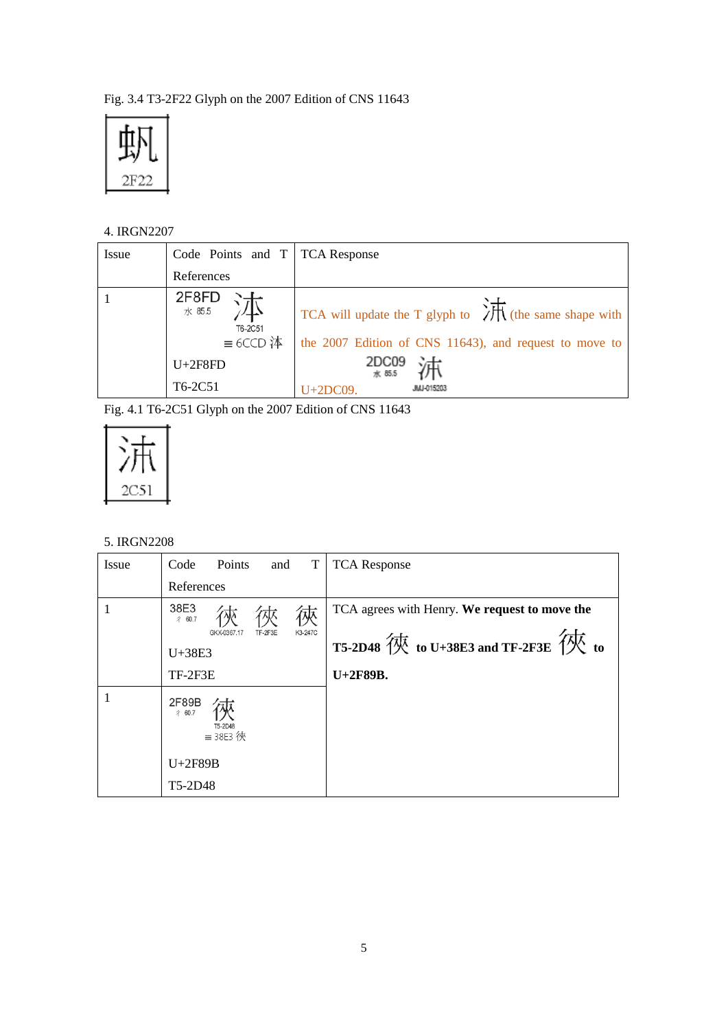Fig. 3.4 T3-2F22 Glyph on the 2007 Edition of CNS 11643



## 4. IRGN2207

| Issue | Code Points and T   TCA Response |                                                                          |
|-------|----------------------------------|--------------------------------------------------------------------------|
|       | References                       |                                                                          |
|       | 2F8FD<br>水 85.5<br>T6-2C51       | TCA will update the T glyph to $\sqrt{\frac{1}{1}}$ (the same shape with |
|       | $\equiv$ 6CCD 泍                  | the 2007 Edition of CNS 11643), and request to move to                   |
|       | $U+2F8FD$                        | 2DC09<br>水 85.5                                                          |
|       | T6-2C51                          | JMJ-015203<br>$U+2DC09.$                                                 |

Fig. 4.1 T6-2C51 Glyph on the 2007 Edition of CNS 11643



## 5. IRGN2208

| Issue | Points<br>T<br>Code<br>and                    | <b>TCA</b> Response                                                                |
|-------|-----------------------------------------------|------------------------------------------------------------------------------------|
|       | References                                    |                                                                                    |
|       | 38E3<br>彳 60.7                                | TCA agrees with Henry. We request to move the                                      |
|       | K3-247C<br>TF-2F3E<br>GKX-0367.17             |                                                                                    |
|       | $U+38E3$                                      | T5-2D48 $\overline{\mathcal{R}}$ to U+38E3 and TF-2F3E $\overline{\mathcal{R}}$ to |
|       | TF-2F3E                                       | U+2F89B.                                                                           |
|       | 2F89B<br>彳 60.7<br>T5-2D48<br>$\equiv$ 38E3 俠 |                                                                                    |
|       | U+2F89B                                       |                                                                                    |
|       | T5-2D48                                       |                                                                                    |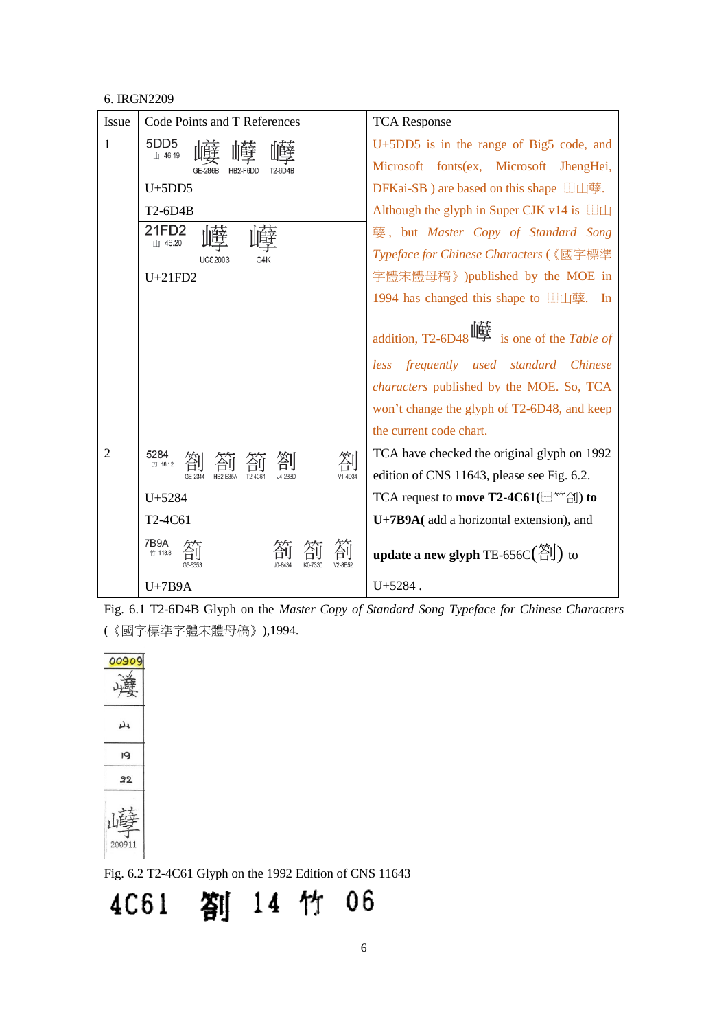#### 6. IRGN2209

| Issue          | Code Points and T References | <b>TCA Response</b>                                                         |  |
|----------------|------------------------------|-----------------------------------------------------------------------------|--|
| 1              | 5DD <sub>5</sub><br>山 46.19  | U+5DD5 is in the range of Big5 code, and                                    |  |
|                | HB2-F6DD                     | Microsoft fonts(ex, Microsoft JhengHei,                                     |  |
|                | $U+5DD5$                     | DFKai-SB ) are based on this shape $\Box \Box \Box \equiv$ .                |  |
|                | T2-6D4B                      | Although the glyph in Super CJK v14 is $\Box\Box$                           |  |
|                | 21FD2<br>山 46.20             | 孽, but <i>Master Copy of Standard Song</i>                                  |  |
|                | UCS2003                      | Typeface for Chinese Characters (《國字標準                                      |  |
|                | $U+21FD2$                    | 字體宋體母稿》)published by the MOE in                                             |  |
|                |                              | 1994 has changed this shape to $\Box \Box \Box \equiv$ . In                 |  |
|                |                              | addition, T2-6D48 $\mathbb{I}$ is one of the Table of                       |  |
|                |                              | less frequently used standard Chinese                                       |  |
|                |                              | <i>characters</i> published by the MOE. So, TCA                             |  |
|                |                              | won't change the glyph of T2-6D48, and keep                                 |  |
|                |                              | the current code chart.                                                     |  |
| $\overline{2}$ | 5284<br>刀 18.12              | TCA have checked the original glyph on 1992                                 |  |
|                | V1-4D34                      | edition of CNS 11643, please see Fig. 6.2.                                  |  |
|                | $U + 5284$                   | TCA request to <b>move T2-4C61</b> ( $\exists^{\star\star}$ $\exists$ I) to |  |
|                | T2-4C61                      | U+7B9A(add a horizontal extension), and                                     |  |
|                | 7B9A<br>竹 118.8              | update a new glyph TE-656C( $\left(\frac{\text{X}}{\text{I}}\right)$ ) to   |  |
|                | $U+7B9A$                     | $U + 5284$ .                                                                |  |

Fig. 6.1 T2-6D4B Glyph on the *Master Copy of Standard Song Typeface for Chinese Characters* (《國字標準字體宋體母稿》),1994.

| C |             |  |
|---|-------------|--|
|   | ىل          |  |
|   | 19          |  |
|   | 22          |  |
|   | 嵯<br>200911 |  |

Fig. 6.2 T2-4C61 Glyph on the 1992 Edition of CNS 11643

4C61 箚 14 竹 06